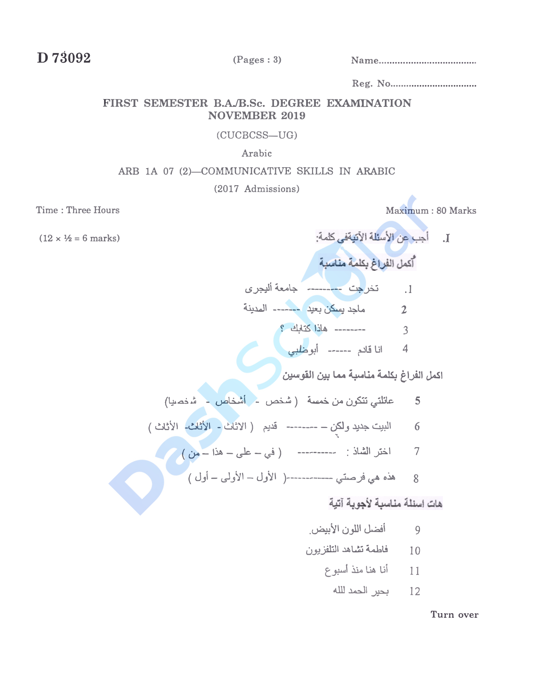D 73092

## FIRST SEMESTER B.A./B.Sc. DEGREE EXAMINATION **NOVEMBER 2019**

#### (CUCBCSS-UG)

#### Arabic

### ARB 1A 07 (2)-COMMUNICATIVE SKILLS IN ARABIC

(2017 Admissions)

Time: Three Hours

 $(12 \times \frac{1}{2} = 6 \text{ marks})$ 

Maximum: 80 Marks

J. أجب عن الأسئلة الآتيةفي كلمة:

قديم (الاثاث - الأثاث- الأثاث) البيت جديد ولكن 6

# هات اسئلة مناسبة لأجوبة آتية

- 9 أفضل اللون الأبيض
- 10 فاطمة تشاهد التلفزيون
	- 11 أنا هنا منذ أسبوع
		- 12 بحير الحمد للله

Turn over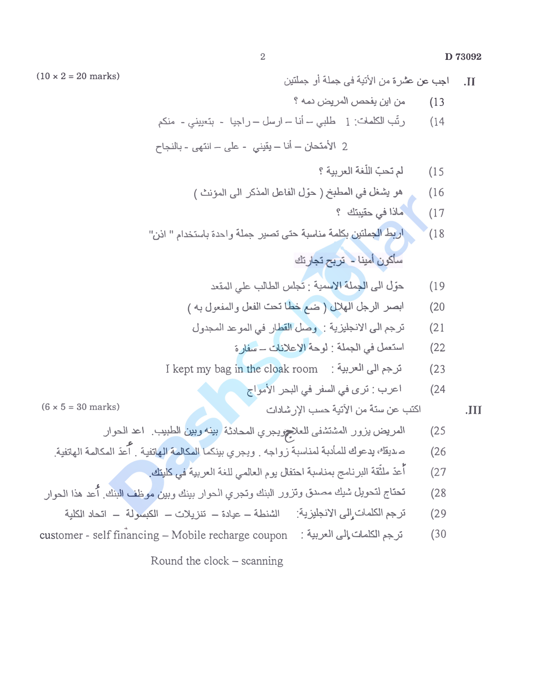D 73092

اجب عن عشر ة من الأنبة في جملة أو جملتين  $\overline{M}$ من ابن بفحص المر بض دمه ؟  $(13)$ رِئَبِ الكلماتِ: 1 طلبي - أنا - ارسل - راجيا - بنَعييني - منكم  $(14)$ 2 الأمنحان – أنا – يقيني - على – انتهى - بالنجاح لم تحبّ اللُّغة العربية ؟  $(15$ هو يشغل في المطبخ ( حول الفاعل المذكر الى المؤنث )  $(16)$ ماذا في حقيبتك ؟  $(17)$ \اربط الجملتين بكلمة مناسبة حتى تصير جملة واحدة باستخدام " اذن"  $(18)$ ساكون أمينا - تربح تجارتك حوّل الى الجملة الإسمية : تجلس الطالب على المقعد  $(19)$ ابصر الرجل الهلال (ضم خطا تحت الفعل والمفعول به)  $(20)$ ترجم الى الإنجليزية : وصل القطار في المو عد المجدول  $(21)$ استعمل في الجملة : لوحة الإعلانات - سفارة  $(22)$ I kept my bag in the cloak room : ترجم الى العربية  $(23)$ اعرب : ترى في السفر في البحر الأمواج  $(24)$  $(6 \times 5 = 30 \text{ marks})$ اكتب عن سنة من الآتية حسب الإر شادات  $J<sub>II</sub>$ المريض يزور المشتشفى للعلاج يجري المحادثة بينه وبين الطبيب اعد الحوار  $(25$ صديقك بدعوك للمأدبة لمناسبة رواجه . ويجرى بينكما المكالمة الهاتفية . أعدّ المكالمة الهاتفية.  $(26)$ .<br>أعدّ ملثّقة البرنامج بمناسبة احتفال يوم العالمي للغة العربية في كل<mark>يتك</mark>.  $(27)$ 

customer - self financing - Mobile recharge coupon : ترجم الكلمات إلى العربية :  $(30)$ 

Round the  $clock - scanning$ 

 $(10 \times 2 = 20$  marks)

 $\overline{2}$